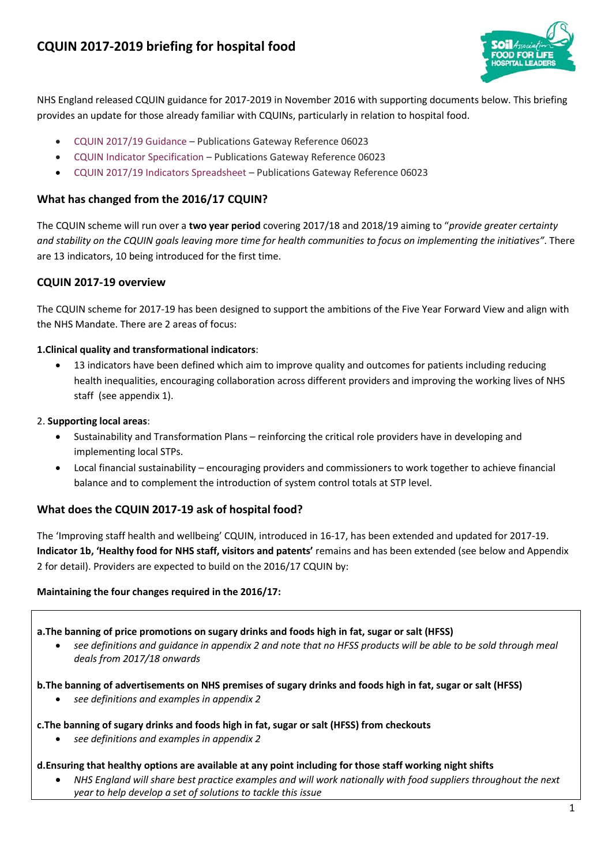

NHS England released CQUIN guidance for 2017-2019 in November 2016 with supporting documents below. This briefing provides an update for those already familiar with CQUINs, particularly in relation to hospital food.

- [CQUIN 2017/19 Guidance](https://www.england.nhs.uk/wp-content/uploads/2016/11/cquin-2017-19-guidance.pdf) Publications Gateway Reference 06023
- [CQUIN Indicator Specification](https://www.england.nhs.uk/wp-content/uploads/2016/11/cquin-indicator-spec-04-11-16.docx) Publications Gateway Reference 06023
- [CQUIN 2017/19 Indicators Spreadsheet](https://www.england.nhs.uk/wp-content/uploads/2016/11/cquin-2017-19-indictrs2.xlsx) Publications Gateway Reference 06023

### **What has changed from the 2016/17 CQUIN?**

The CQUIN scheme will run over a **two year period** covering 2017/18 and 2018/19 aiming to "*provide greater certainty and stability on the CQUIN goals leaving more time for health communities to focus on implementing the initiatives"*. There are 13 indicators, 10 being introduced for the first time.

## **CQUIN 2017-19 overview**

The CQUIN scheme for 2017-19 has been designed to support the ambitions of the Five Year Forward View and align with the NHS Mandate. There are 2 areas of focus:

#### **1.Clinical quality and transformational indicators**:

 13 indicators have been defined which aim to improve quality and outcomes for patients including reducing health inequalities, encouraging collaboration across different providers and improving the working lives of NHS staff (see appendix 1).

#### 2. **Supporting local areas**:

- Sustainability and Transformation Plans reinforcing the critical role providers have in developing and implementing local STPs.
- Local financial sustainability encouraging providers and commissioners to work together to achieve financial balance and to complement the introduction of system control totals at STP level.

## **What does the CQUIN 2017-19 ask of hospital food?**

The 'Improving staff health and wellbeing' CQUIN, introduced in 16-17, has been extended and updated for 2017-19. **Indicator 1b, 'Healthy food for NHS staff, visitors and patents'** remains and has been extended (see below and Appendix 2 for detail). Providers are expected to build on the 2016/17 CQUIN by:

#### **Maintaining the four changes required in the 2016/17:**

**a.The banning of price promotions on sugary drinks and foods high in fat, sugar or salt (HFSS)** 

 *see definitions and guidance in appendix 2 and note that no HFSS products will be able to be sold through meal deals from 2017/18 onwards*

#### **b.The banning of advertisements on NHS premises of sugary drinks and foods high in fat, sugar or salt (HFSS)**

*see definitions and examples in appendix 2*

#### **c.The banning of sugary drinks and foods high in fat, sugar or salt (HFSS) from checkouts**

*see definitions and examples in appendix 2*

#### **d.Ensuring that healthy options are available at any point including for those staff working night shifts**

 *NHS England will share best practice examples and will work nationally with food suppliers throughout the next year to help develop a set of solutions to tackle this issue*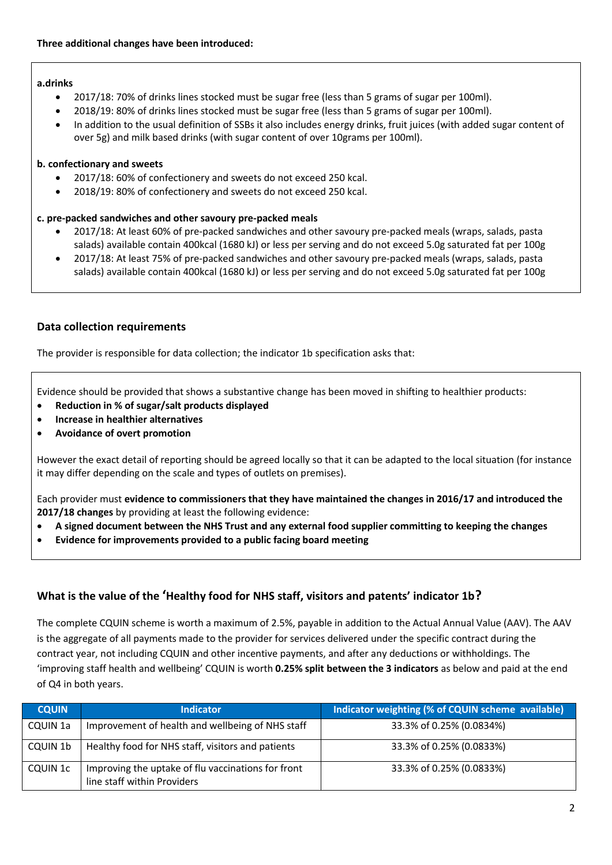#### **a.drinks**

- 2017/18: 70% of drinks lines stocked must be sugar free (less than 5 grams of sugar per 100ml).
- 2018/19: 80% of drinks lines stocked must be sugar free (less than 5 grams of sugar per 100ml).
- In addition to the usual definition of SSBs it also includes energy drinks, fruit juices (with added sugar content of over 5g) and milk based drinks (with sugar content of over 10grams per 100ml).

#### **b. confectionary and sweets**

- 2017/18: 60% of confectionery and sweets do not exceed 250 kcal.
- 2018/19: 80% of confectionery and sweets do not exceed 250 kcal.

#### **c. pre-packed sandwiches and other savoury pre-packed meals**

- 2017/18: At least 60% of pre-packed sandwiches and other savoury pre-packed meals (wraps, salads, pasta salads) available contain 400kcal (1680 kJ) or less per serving and do not exceed 5.0g saturated fat per 100g
- 2017/18: At least 75% of pre-packed sandwiches and other savoury pre-packed meals (wraps, salads, pasta salads) available contain 400kcal (1680 kJ) or less per serving and do not exceed 5.0g saturated fat per 100g

## **Data collection requirements**

The provider is responsible for data collection; the indicator 1b specification asks that:

Evidence should be provided that shows a substantive change has been moved in shifting to healthier products:

- **Reduction in % of sugar/salt products displayed**
- **Increase in healthier alternatives**
- **Avoidance of overt promotion**

However the exact detail of reporting should be agreed locally so that it can be adapted to the local situation (for instance it may differ depending on the scale and types of outlets on premises).

Each provider must **evidence to commissioners that they have maintained the changes in 2016/17 and introduced the 2017/18 changes** by providing at least the following evidence:

- **A signed document between the NHS Trust and any external food supplier committing to keeping the changes**
- **Evidence for improvements provided to a public facing board meeting**

## **What is the value of the 'Healthy food for NHS staff, visitors and patents' indicator 1b?**

The complete CQUIN scheme is worth a maximum of 2.5%, payable in addition to the Actual Annual Value (AAV). The AAV is the aggregate of all payments made to the provider for services delivered under the specific contract during the contract year, not including CQUIN and other incentive payments, and after any deductions or withholdings. The 'improving staff health and wellbeing' CQUIN is worth **0.25% split between the 3 indicators** as below and paid at the end of Q4 in both years.

| <b>CQUIN</b> | <b>Indicator</b>                                                                  | Indicator weighting (% of CQUIN scheme available) |
|--------------|-----------------------------------------------------------------------------------|---------------------------------------------------|
| CQUIN 1a     | Improvement of health and wellbeing of NHS staff                                  | 33.3% of 0.25% (0.0834%)                          |
| CQUIN 1b     | Healthy food for NHS staff, visitors and patients                                 | 33.3% of 0.25% (0.0833%)                          |
| CQUIN 1c     | Improving the uptake of flu vaccinations for front<br>line staff within Providers | 33.3% of 0.25% (0.0833%)                          |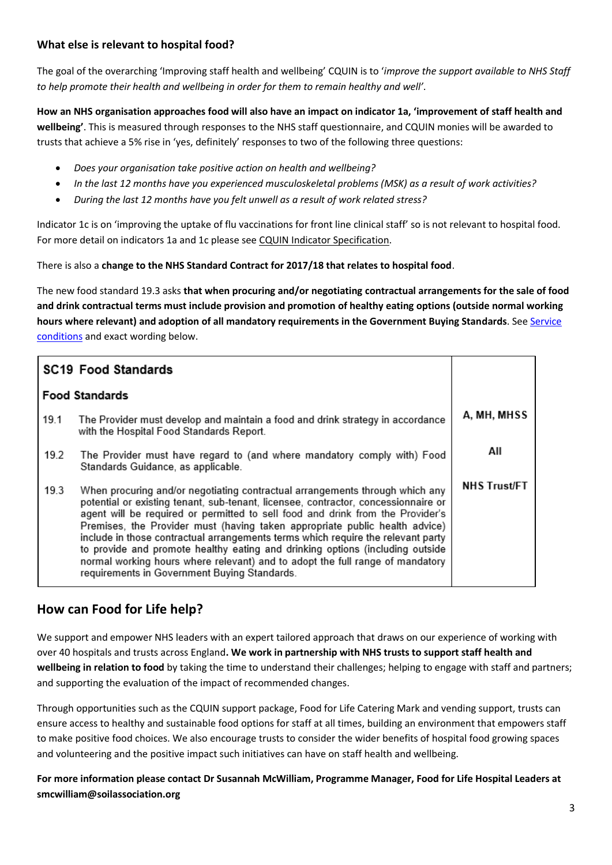## **What else is relevant to hospital food?**

The goal of the overarching 'Improving staff health and wellbeing' CQUIN is to '*improve the support available to NHS Staff to help promote their health and wellbeing in order for them to remain healthy and well'*.

**How an NHS organisation approaches food will also have an impact on indicator 1a, 'improvement of staff health and wellbeing'**. This is measured through responses to the NHS staff questionnaire, and CQUIN monies will be awarded to trusts that achieve a 5% rise in 'yes, definitely' responses to two of the following three questions:

- *Does your organisation take positive action on health and wellbeing?*
- *In the last 12 months have you experienced musculoskeletal problems (MSK) as a result of work activities?*
- *During the last 12 months have you felt unwell as a result of work related stress?*

Indicator 1c is on 'improving the uptake of flu vaccinations for front line clinical staff' so is not relevant to hospital food. For more detail on indicators 1a and 1c please see [CQUIN Indicator Specification.](https://www.england.nhs.uk/wp-content/uploads/2016/11/cquin-indicator-spec-04-11-16.docx)

There is also a **change to the NHS Standard Contract for 2017/18 that relates to hospital food**.

The new food standard 19.3 asks **that when procuring and/or negotiating contractual arrangements for the sale of food and drink contractual terms must include provision and promotion of healthy eating options (outside normal working hours where relevant) and adoption of all mandatory requirements in the Government Buying Standards**. Se[e Service](https://www.england.nhs.uk/wp-content/uploads/2016/11/2-service-conditions-fl.pdf)  [conditions](https://www.england.nhs.uk/wp-content/uploads/2016/11/2-service-conditions-fl.pdf) and exact wording below.

|                       | <b>SC19 Food Standards</b>                                                                                                                                                                                                                                                                                                                                                                                                                                                                                                                                                                                                                |                     |
|-----------------------|-------------------------------------------------------------------------------------------------------------------------------------------------------------------------------------------------------------------------------------------------------------------------------------------------------------------------------------------------------------------------------------------------------------------------------------------------------------------------------------------------------------------------------------------------------------------------------------------------------------------------------------------|---------------------|
| <b>Food Standards</b> |                                                                                                                                                                                                                                                                                                                                                                                                                                                                                                                                                                                                                                           |                     |
| 19.1                  | The Provider must develop and maintain a food and drink strategy in accordance<br>with the Hospital Food Standards Report.                                                                                                                                                                                                                                                                                                                                                                                                                                                                                                                | A, MH, MHSS         |
| 19.2                  | The Provider must have regard to (and where mandatory comply with) Food<br>Standards Guidance, as applicable.                                                                                                                                                                                                                                                                                                                                                                                                                                                                                                                             | All                 |
| 19.3                  | When procuring and/or negotiating contractual arrangements through which any<br>potential or existing tenant, sub-tenant, licensee, contractor, concessionnaire or<br>agent will be required or permitted to sell food and drink from the Provider's<br>Premises, the Provider must (having taken appropriate public health advice)<br>include in those contractual arrangements terms which require the relevant party<br>to provide and promote healthy eating and drinking options (including outside<br>normal working hours where relevant) and to adopt the full range of mandatory<br>requirements in Government Buying Standards. | <b>NHS Trust/FT</b> |

## **How can Food for Life help?**

We support and empower NHS leaders with an expert tailored approach that draws on our experience of working with over 40 hospitals and trusts across England**. We work in partnership with NHS trusts to support staff health and wellbeing in relation to food** by taking the time to understand their challenges; helping to engage with staff and partners; and supporting the evaluation of the impact of recommended changes.

Through opportunities such as the CQUIN support package, Food for Life Catering Mark and vending support, trusts can ensure access to healthy and sustainable food options for staff at all times, building an environment that empowers staff to make positive food choices. We also encourage trusts to consider the wider benefits of hospital food growing spaces and volunteering and the positive impact such initiatives can have on staff health and wellbeing.

**For more information please contact Dr Susannah McWilliam, Programme Manager, Food for Life Hospital Leaders at smcwilliam@soilassociation.org**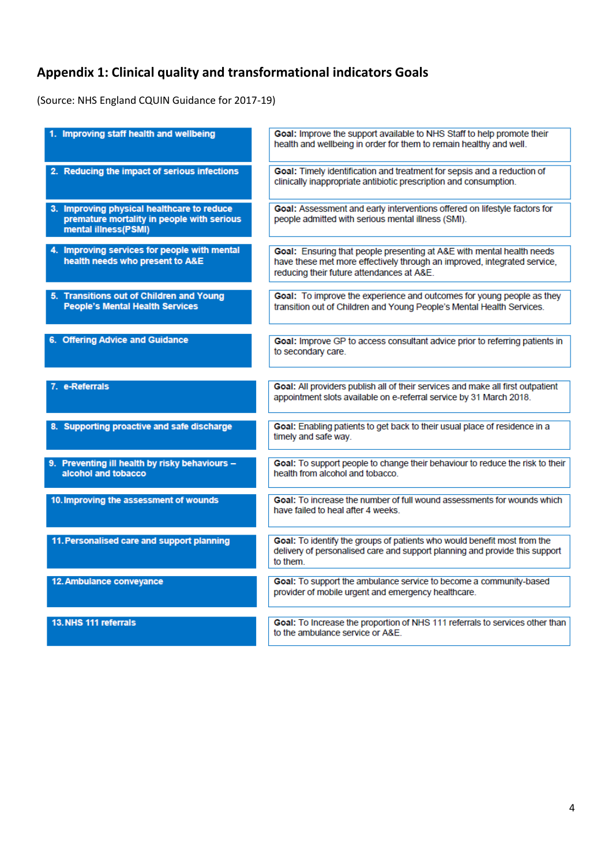# **Appendix 1: Clinical quality and transformational indicators Goals**

(Source: NHS England CQUIN Guidance for 2017-19)

| 1. Improving staff health and wellbeing                                                                          | Goal: Improve the support available to NHS Staff to help promote their<br>health and wellbeing in order for them to remain healthy and well.                                                   |
|------------------------------------------------------------------------------------------------------------------|------------------------------------------------------------------------------------------------------------------------------------------------------------------------------------------------|
| 2. Reducing the impact of serious infections                                                                     | Goal: Timely identification and treatment for sepsis and a reduction of<br>clinically inappropriate antibiotic prescription and consumption.                                                   |
| 3. Improving physical healthcare to reduce<br>premature mortality in people with serious<br>mental illness(PSMI) | Goal: Assessment and early interventions offered on lifestyle factors for<br>people admitted with serious mental illness (SMI).                                                                |
| 4. Improving services for people with mental<br>health needs who present to A&E                                  | Goal: Ensuring that people presenting at A&E with mental health needs<br>have these met more effectively through an improved, integrated service,<br>reducing their future attendances at A&E. |
| 5. Transitions out of Children and Young<br><b>People's Mental Health Services</b>                               | Goal: To improve the experience and outcomes for young people as they<br>transition out of Children and Young People's Mental Health Services.                                                 |
| 6. Offering Advice and Guidance                                                                                  | Goal: Improve GP to access consultant advice prior to referring patients in<br>to secondary care.                                                                                              |
| 7. e-Referrals                                                                                                   | Goal: All providers publish all of their services and make all first outpatient<br>appointment slots available on e-referral service by 31 March 2018.                                         |
| 8. Supporting proactive and safe discharge                                                                       | Goal: Enabling patients to get back to their usual place of residence in a<br>timely and safe way.                                                                                             |
| 9. Preventing ill health by risky behaviours -<br>alcohol and tobacco                                            | Goal: To support people to change their behaviour to reduce the risk to their<br>health from alcohol and tobacco.                                                                              |
| 10. Improving the assessment of wounds                                                                           | Goal: To increase the number of full wound assessments for wounds which<br>have failed to heal after 4 weeks.                                                                                  |
| 11. Personalised care and support planning                                                                       | Goal: To identify the groups of patients who would benefit most from the<br>delivery of personalised care and support planning and provide this support<br>to them.                            |
| 12. Ambulance conveyance                                                                                         | Goal: To support the ambulance service to become a community-based<br>provider of mobile urgent and emergency healthcare.                                                                      |
| 13. NHS 111 referrals                                                                                            | Goal: To Increase the proportion of NHS 111 referrals to services other than<br>to the ambulance service or A&E.                                                                               |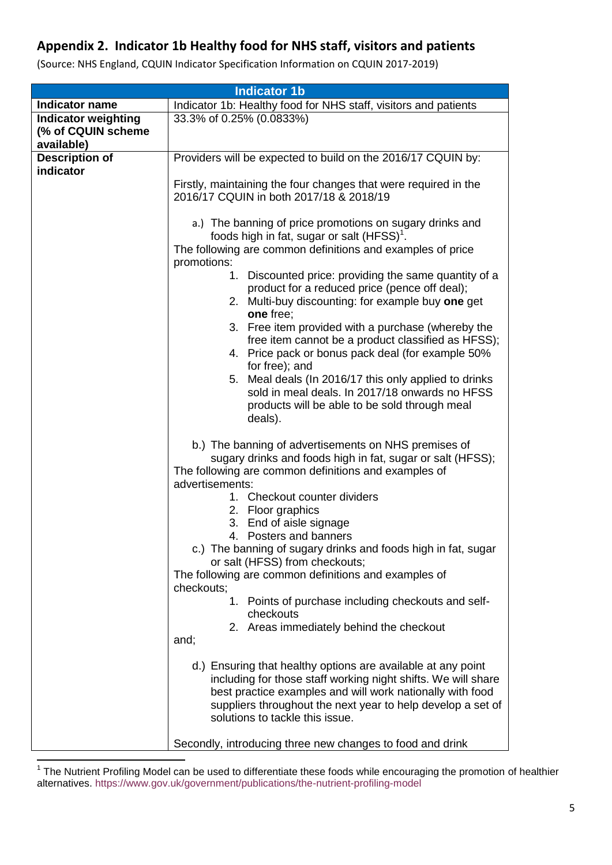## **Appendix 2. Indicator 1b Healthy food for NHS staff, visitors and patients**

| <b>Indicator 1b</b>                                            |                                                                                                                                                                                                                                                                                              |  |
|----------------------------------------------------------------|----------------------------------------------------------------------------------------------------------------------------------------------------------------------------------------------------------------------------------------------------------------------------------------------|--|
| <b>Indicator name</b>                                          | Indicator 1b: Healthy food for NHS staff, visitors and patients                                                                                                                                                                                                                              |  |
| <b>Indicator weighting</b><br>(% of CQUIN scheme<br>available) | 33.3% of 0.25% (0.0833%)                                                                                                                                                                                                                                                                     |  |
| <b>Description of</b>                                          | Providers will be expected to build on the 2016/17 CQUIN by:                                                                                                                                                                                                                                 |  |
| indicator                                                      |                                                                                                                                                                                                                                                                                              |  |
|                                                                | Firstly, maintaining the four changes that were required in the<br>2016/17 CQUIN in both 2017/18 & 2018/19                                                                                                                                                                                   |  |
|                                                                | a.) The banning of price promotions on sugary drinks and<br>foods high in fat, sugar or salt (HFSS) <sup>1</sup> .<br>The following are common definitions and examples of price<br>promotions:                                                                                              |  |
|                                                                | 1. Discounted price: providing the same quantity of a<br>product for a reduced price (pence off deal);<br>2. Multi-buy discounting: for example buy one get<br>one free;                                                                                                                     |  |
|                                                                | 3. Free item provided with a purchase (whereby the<br>free item cannot be a product classified as HFSS);<br>4. Price pack or bonus pack deal (for example 50%<br>for free); and                                                                                                              |  |
|                                                                | 5. Meal deals (In 2016/17 this only applied to drinks<br>sold in meal deals. In 2017/18 onwards no HFSS<br>products will be able to be sold through meal<br>deals).                                                                                                                          |  |
|                                                                | b.) The banning of advertisements on NHS premises of<br>sugary drinks and foods high in fat, sugar or salt (HFSS);<br>The following are common definitions and examples of<br>advertisements:                                                                                                |  |
|                                                                | 1. Checkout counter dividers<br>2. Floor graphics<br>3. End of aisle signage                                                                                                                                                                                                                 |  |
|                                                                | 4. Posters and banners                                                                                                                                                                                                                                                                       |  |
|                                                                | c.) The banning of sugary drinks and foods high in fat, sugar                                                                                                                                                                                                                                |  |
|                                                                | or salt (HFSS) from checkouts;                                                                                                                                                                                                                                                               |  |
|                                                                | The following are common definitions and examples of<br>checkouts;                                                                                                                                                                                                                           |  |
|                                                                | 1. Points of purchase including checkouts and self-<br>checkouts                                                                                                                                                                                                                             |  |
|                                                                | 2. Areas immediately behind the checkout                                                                                                                                                                                                                                                     |  |
|                                                                | and;                                                                                                                                                                                                                                                                                         |  |
|                                                                | d.) Ensuring that healthy options are available at any point<br>including for those staff working night shifts. We will share<br>best practice examples and will work nationally with food<br>suppliers throughout the next year to help develop a set of<br>solutions to tackle this issue. |  |
|                                                                | Secondly, introducing three new changes to food and drink                                                                                                                                                                                                                                    |  |

(Source: NHS England, CQUIN Indicator Specification Information on CQUIN 2017-2019)

 1 The Nutrient Profiling Model can be used to differentiate these foods while encouraging the promotion of healthier alternatives.<https://www.gov.uk/government/publications/the-nutrient-profiling-model>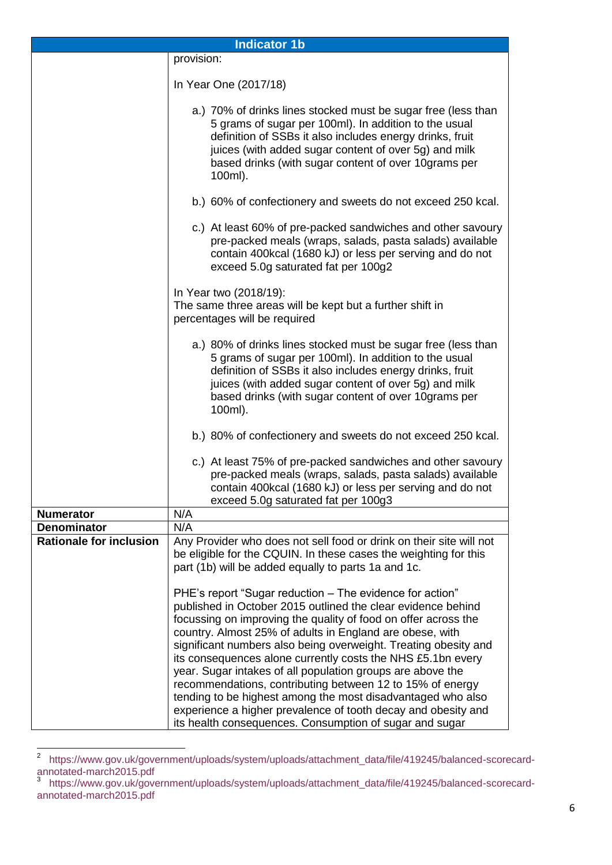| <b>Indicator 1b</b>            |                                                                                                                                                                                                                                                                                                                                                                                                                                                                                                                                                                                                                                                                                                                |  |
|--------------------------------|----------------------------------------------------------------------------------------------------------------------------------------------------------------------------------------------------------------------------------------------------------------------------------------------------------------------------------------------------------------------------------------------------------------------------------------------------------------------------------------------------------------------------------------------------------------------------------------------------------------------------------------------------------------------------------------------------------------|--|
| provision:                     |                                                                                                                                                                                                                                                                                                                                                                                                                                                                                                                                                                                                                                                                                                                |  |
|                                | In Year One (2017/18)                                                                                                                                                                                                                                                                                                                                                                                                                                                                                                                                                                                                                                                                                          |  |
|                                | a.) 70% of drinks lines stocked must be sugar free (less than<br>5 grams of sugar per 100ml). In addition to the usual<br>definition of SSBs it also includes energy drinks, fruit<br>juices (with added sugar content of over 5g) and milk<br>based drinks (with sugar content of over 10grams per<br>100ml).                                                                                                                                                                                                                                                                                                                                                                                                 |  |
|                                | b.) 60% of confectionery and sweets do not exceed 250 kcal.                                                                                                                                                                                                                                                                                                                                                                                                                                                                                                                                                                                                                                                    |  |
|                                | c.) At least 60% of pre-packed sandwiches and other savoury<br>pre-packed meals (wraps, salads, pasta salads) available<br>contain 400kcal (1680 kJ) or less per serving and do not<br>exceed 5.0g saturated fat per 100g2                                                                                                                                                                                                                                                                                                                                                                                                                                                                                     |  |
|                                | In Year two (2018/19):<br>The same three areas will be kept but a further shift in<br>percentages will be required<br>a.) 80% of drinks lines stocked must be sugar free (less than<br>5 grams of sugar per 100ml). In addition to the usual<br>definition of SSBs it also includes energy drinks, fruit<br>juices (with added sugar content of over 5g) and milk<br>based drinks (with sugar content of over 10grams per<br>100ml).                                                                                                                                                                                                                                                                           |  |
|                                |                                                                                                                                                                                                                                                                                                                                                                                                                                                                                                                                                                                                                                                                                                                |  |
|                                | b.) 80% of confectionery and sweets do not exceed 250 kcal.                                                                                                                                                                                                                                                                                                                                                                                                                                                                                                                                                                                                                                                    |  |
|                                | c.) At least 75% of pre-packed sandwiches and other savoury<br>pre-packed meals (wraps, salads, pasta salads) available<br>contain 400kcal (1680 kJ) or less per serving and do not<br>exceed 5.0g saturated fat per 100g3                                                                                                                                                                                                                                                                                                                                                                                                                                                                                     |  |
| <b>Numerator</b>               | N/A                                                                                                                                                                                                                                                                                                                                                                                                                                                                                                                                                                                                                                                                                                            |  |
| <b>Denominator</b>             | N/A                                                                                                                                                                                                                                                                                                                                                                                                                                                                                                                                                                                                                                                                                                            |  |
| <b>Rationale for inclusion</b> | Any Provider who does not sell food or drink on their site will not<br>be eligible for the CQUIN. In these cases the weighting for this<br>part (1b) will be added equally to parts 1a and 1c.                                                                                                                                                                                                                                                                                                                                                                                                                                                                                                                 |  |
|                                | PHE's report "Sugar reduction - The evidence for action"<br>published in October 2015 outlined the clear evidence behind<br>focussing on improving the quality of food on offer across the<br>country. Almost 25% of adults in England are obese, with<br>significant numbers also being overweight. Treating obesity and<br>its consequences alone currently costs the NHS £5.1bn every<br>year. Sugar intakes of all population groups are above the<br>recommendations, contributing between 12 to 15% of energy<br>tending to be highest among the most disadvantaged who also<br>experience a higher prevalence of tooth decay and obesity and<br>its health consequences. Consumption of sugar and sugar |  |

 2 [https://www.gov.uk/government/uploads/system/uploads/attachment\\_data/file/419245/balanced-scorecard](https://www.gov.uk/government/uploads/system/uploads/attachment_data/file/419245/balanced-scorecard-annotated-march2015.pdf)[annotated-march2015.pdf](https://www.gov.uk/government/uploads/system/uploads/attachment_data/file/419245/balanced-scorecard-annotated-march2015.pdf) 3 [https://www.gov.uk/government/uploads/system/uploads/attachment\\_data/file/419245/balanced-scorecard-](https://www.gov.uk/government/uploads/system/uploads/attachment_data/file/419245/balanced-scorecard-annotated-march2015.pdf)

[annotated-march2015.pdf](https://www.gov.uk/government/uploads/system/uploads/attachment_data/file/419245/balanced-scorecard-annotated-march2015.pdf)